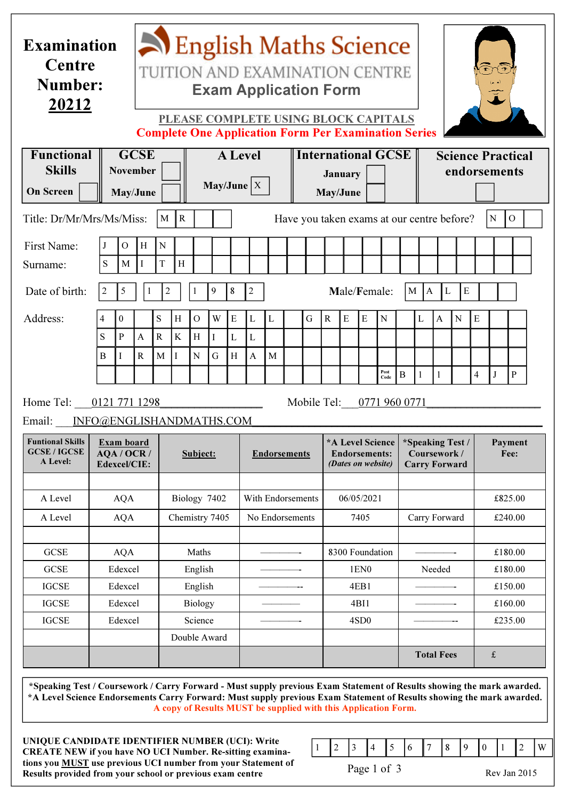| <b>Examination</b><br>Centre<br>Number:<br><u>20212</u>                                                                     |                                            |                                  |                             | English Maths Science<br>TUITION AND EXAMINATION CENTRE<br><b>Exam Application Form</b><br>PLEASE COMPLETE USING BLOCK CAPITALS<br><b>Complete One Application Form Per Examination Series</b> |                    |                                         |                    |                               |                        |        |  |                                                         |                                                                |                  |           |                                      |                               |                                                          | $\frac{1}{\sqrt{2}}$ |           |           |                    |              |  |
|-----------------------------------------------------------------------------------------------------------------------------|--------------------------------------------|----------------------------------|-----------------------------|------------------------------------------------------------------------------------------------------------------------------------------------------------------------------------------------|--------------------|-----------------------------------------|--------------------|-------------------------------|------------------------|--------|--|---------------------------------------------------------|----------------------------------------------------------------|------------------|-----------|--------------------------------------|-------------------------------|----------------------------------------------------------|----------------------|-----------|-----------|--------------------|--------------|--|
| <b>Functional</b><br><b>Skills</b><br><b>On Screen</b>                                                                      | <b>GCSE</b><br><b>November</b><br>May/June |                                  |                             |                                                                                                                                                                                                |                    | <b>A</b> Level<br>$\text{May/June}$   X |                    |                               |                        |        |  | <b>International GCSE</b><br><b>January</b><br>May/June |                                                                |                  |           |                                      |                               | <b>Science Practical</b><br>endorsements                 |                      |           |           |                    |              |  |
| Title: Dr/Mr/Mrs/Ms/Miss:<br>$\mathbf R$<br>M<br>Have you taken exams at our centre before?<br>$\mathbf N$<br>$\mathcal{O}$ |                                            |                                  |                             |                                                                                                                                                                                                |                    |                                         |                    |                               |                        |        |  |                                                         |                                                                |                  |           |                                      |                               |                                                          |                      |           |           |                    |              |  |
| First Name:<br>Surname:                                                                                                     | J<br>${\bf S}$                             | $\mathcal{O}$<br>M               | H<br>Ι                      | $\mathbf N$<br>T                                                                                                                                                                               | H                  |                                         |                    |                               |                        |        |  |                                                         |                                                                |                  |           |                                      |                               |                                                          |                      |           |           |                    |              |  |
| Date of birth:                                                                                                              | 2                                          | $\sqrt{5}$                       | 1                           | $\overline{c}$                                                                                                                                                                                 |                    | 8<br>9                                  |                    |                               | $\overline{2}$         |        |  |                                                         |                                                                | Male/Female:     |           |                                      |                               | ${\bf E}$<br> A <br>$\mathbf{L}$<br>M                    |                      |           |           |                    |              |  |
| Address:                                                                                                                    | 4<br>S<br>B                                | $\boldsymbol{0}$<br>$\mathbf{P}$ | $\mathbf{A}$<br>$\mathbf R$ | S<br>$\mathbf R$<br>M                                                                                                                                                                          | H<br>$\bf K$<br>Ι  | $\overline{O}$<br>H<br>${\bf N}$        | W<br>$\bf{I}$<br>G | ${\bf E}$<br>$\mathbf L$<br>H | L<br>$\mathbf{L}$<br>A | L<br>M |  | G                                                       | $\mathbf R$                                                    | $\mathbf E$      | ${\bf E}$ | $\mathbf N$                          |                               | L                                                        | $\mathbf{A}$         | ${\bf N}$ | ${\bf E}$ |                    |              |  |
| Home Tel:<br>Email: INFO@ENGLISHANDMATHS.COM                                                                                |                                            | 0121 771 1298                    |                             |                                                                                                                                                                                                |                    |                                         |                    |                               |                        |        |  | Mobile Tel:                                             |                                                                |                  |           | $\boldsymbol{\mathsf{Post}}$<br>Code | $\, {\bf B}$<br>0771 960 0771 | 1                                                        | 1                    |           | 4         | $\bf J$            | $\, {\bf P}$ |  |
| <b>Funtional Skills</b><br><b>GCSE / IGCSE</b><br>A Level:                                                                  | Exam board<br>AQA / OCR /<br>Edexcel/CIE:  |                                  |                             |                                                                                                                                                                                                | Subject:           |                                         |                    |                               | <b>Endorsements</b>    |        |  |                                                         | *A Level Science<br><b>Endorsements:</b><br>(Dates on website) |                  |           |                                      |                               | *Speaking Test /<br>Coursework /<br><b>Carry Forward</b> |                      |           |           | Payment<br>Fee:    |              |  |
| A Level                                                                                                                     | <b>AQA</b>                                 |                                  |                             |                                                                                                                                                                                                | Biology 7402       |                                         |                    |                               | With Endorsements      |        |  |                                                         | 06/05/2021                                                     |                  |           |                                      |                               |                                                          |                      |           |           | £825.00            |              |  |
| A Level                                                                                                                     |                                            | <b>AQA</b>                       |                             |                                                                                                                                                                                                |                    | Chemistry 7405                          |                    |                               | No Endorsements        |        |  |                                                         | 7405                                                           |                  |           |                                      |                               | Carry Forward                                            |                      |           |           | £240.00            |              |  |
| <b>GCSE</b>                                                                                                                 | <b>AQA</b>                                 |                                  |                             |                                                                                                                                                                                                | Maths              |                                         |                    |                               |                        |        |  |                                                         |                                                                | 8300 Foundation  |           |                                      |                               |                                                          |                      |           |           | £180.00            |              |  |
| <b>GCSE</b><br><b>IGCSE</b>                                                                                                 | Edexcel<br>Edexcel                         |                                  |                             |                                                                                                                                                                                                | English<br>English |                                         |                    |                               |                        |        |  |                                                         |                                                                | 1EN0<br>4EB1     |           |                                      |                               | Needed                                                   |                      |           |           | £180.00<br>£150.00 |              |  |
| <b>IGCSE</b>                                                                                                                | Edexcel                                    |                                  |                             |                                                                                                                                                                                                | <b>Biology</b>     |                                         |                    |                               |                        |        |  |                                                         |                                                                | 4BI1             |           |                                      |                               |                                                          |                      |           |           | £160.00            |              |  |
| <b>IGCSE</b>                                                                                                                | Edexcel                                    |                                  |                             |                                                                                                                                                                                                | Science            |                                         |                    |                               |                        |        |  |                                                         |                                                                | 4SD <sub>0</sub> |           |                                      |                               |                                                          |                      |           |           | £235.00            |              |  |
|                                                                                                                             |                                            |                                  |                             |                                                                                                                                                                                                | Double Award       |                                         |                    |                               |                        |        |  |                                                         |                                                                |                  |           |                                      | <b>Total Fees</b>             |                                                          |                      |           | $\pounds$ |                    |              |  |

A copy of Results MUST be supplied with this Application Form.

UNIQUE CANDIDATE IDENTIFIER NUMBER (UCI): Write CREATE NEW if you have NO UCI Number. Re-sitting examinations you MUST use previous UCI number from your Statement of Results provided from your school or previous exam centre



Page 1 of 3

Rev Jan 2015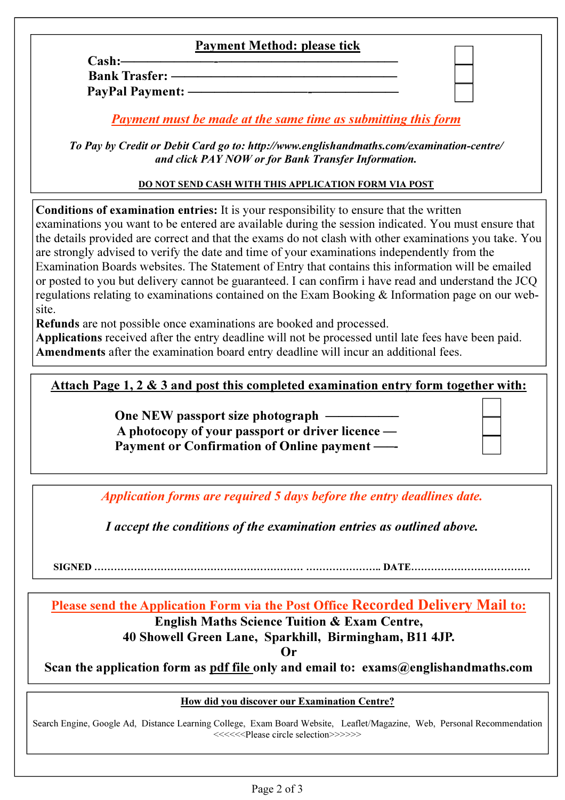# Payment Method: please tick

Cash:———————-——————–——–———–— Bank Trasfer: -PayPal Payment: -

Payment must be made at the same time as submitting this form

To Pay by Credit or Debit Card go to: http://www.englishandmaths.com/examination-centre/ and click PAY NOW or for Bank Transfer Information.

## DO NOT SEND CASH WITH THIS APPLICATION FORM VIA POST

Conditions of examination entries: It is your responsibility to ensure that the written examinations you want to be entered are available during the session indicated. You must ensure that the details provided are correct and that the exams do not clash with other examinations you take. You are strongly advised to verify the date and time of your examinations independently from the Examination Boards websites. The Statement of Entry that contains this information will be emailed or posted to you but delivery cannot be guaranteed. I can confirm i have read and understand the JCQ regulations relating to examinations contained on the Exam Booking & Information page on our website.

Refunds are not possible once examinations are booked and processed.

Applications received after the entry deadline will not be processed until late fees have been paid. Amendments after the examination board entry deadline will incur an additional fees.

## Attach Page 1, 2 & 3 and post this completed examination entry form together with:

One NEW passport size photograph -A photocopy of your passport or driver licence — Payment or Confirmation of Online payment -

Application forms are required 5 days before the entry deadlines date.

I accept the conditions of the examination entries as outlined above.

SIGNED ……………………………………………………… ………………….. DATE………………………………

Please send the Application Form via the Post Office Recorded Delivery Mail to: English Maths Science Tuition & Exam Centre, 40 Showell Green Lane, Sparkhill, Birmingham, B11 4JP.

Or

Scan the application form as pdf file only and email to:  $exams@englishandmaths.com$ 

#### How did you discover our Examination Centre?

Search Engine, Google Ad, Distance Learning College, Exam Board Website, Leaflet/Magazine, Web, Personal Recommendation <<<<<Please circle selection>>>>>>>>>>>